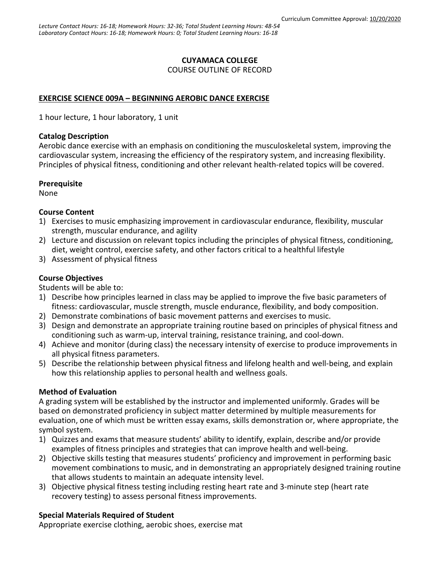# **CUYAMACA COLLEGE**

COURSE OUTLINE OF RECORD

# **EXERCISE SCIENCE 009A – BEGINNING AEROBIC DANCE EXERCISE**

1 hour lecture, 1 hour laboratory, 1 unit

### **Catalog Description**

Aerobic dance exercise with an emphasis on conditioning the musculoskeletal system, improving the cardiovascular system, increasing the efficiency of the respiratory system, and increasing flexibility. Principles of physical fitness, conditioning and other relevant health-related topics will be covered.

### **Prerequisite**

None

## **Course Content**

- 1) Exercises to music emphasizing improvement in cardiovascular endurance, flexibility, muscular strength, muscular endurance, and agility
- 2) Lecture and discussion on relevant topics including the principles of physical fitness, conditioning, diet, weight control, exercise safety, and other factors critical to a healthful lifestyle
- 3) Assessment of physical fitness

# **Course Objectives**

Students will be able to:

- 1) Describe how principles learned in class may be applied to improve the five basic parameters of fitness: cardiovascular, muscle strength, muscle endurance, flexibility, and body composition.
- 2) Demonstrate combinations of basic movement patterns and exercises to music.
- 3) Design and demonstrate an appropriate training routine based on principles of physical fitness and conditioning such as warm-up, interval training, resistance training, and cool-down.
- 4) Achieve and monitor (during class) the necessary intensity of exercise to produce improvements in all physical fitness parameters.
- 5) Describe the relationship between physical fitness and lifelong health and well-being, and explain how this relationship applies to personal health and wellness goals.

## **Method of Evaluation**

A grading system will be established by the instructor and implemented uniformly. Grades will be based on demonstrated proficiency in subject matter determined by multiple measurements for evaluation, one of which must be written essay exams, skills demonstration or, where appropriate, the symbol system.

- 1) Quizzes and exams that measure students' ability to identify, explain, describe and/or provide examples of fitness principles and strategies that can improve health and well-being.
- 2) Objective skills testing that measures students' proficiency and improvement in performing basic movement combinations to music, and in demonstrating an appropriately designed training routine that allows students to maintain an adequate intensity level.
- 3) Objective physical fitness testing including resting heart rate and 3-minute step (heart rate recovery testing) to assess personal fitness improvements.

# **Special Materials Required of Student**

Appropriate exercise clothing, aerobic shoes, exercise mat